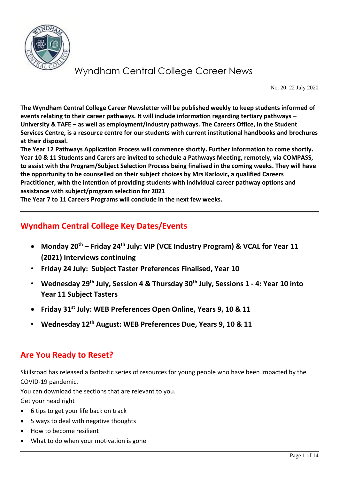

No. 20: 22 July 2020

**The Wyndham Central College Career Newsletter will be published weekly to keep students informed of events relating to their career pathways. It will include information regarding tertiary pathways – University & TAFE – as well as employment/industry pathways. The Careers Office, in the Student Services Centre, is a resource centre for our students with current institutional handbooks and brochures at their disposal.** 

**The Year 12 Pathways Application Process will commence shortly. Further information to come shortly. Year 10 & 11 Students and Carers are invited to schedule a Pathways Meeting, remotely, via COMPASS, to assist with the Program/Subject Selection Process being finalised in the coming weeks. They will have the opportunity to be counselled on their subject choices by Mrs Karlovic, a qualified Careers Practitioner, with the intention of providing students with individual career pathway options and assistance with subject/program selection for 2021**

**The Year 7 to 11 Careers Programs will conclude in the next few weeks.**

### **Wyndham Central College Key Dates/Events**

- **Monday 20th – Friday 24th July: VIP (VCE Industry Program) & VCAL for Year 11 (2021) Interviews continuing**
- **Friday 24 July: Subject Taster Preferences Finalised, Year 10**
- **Wednesday 29th July, Session 4 & Thursday 30th July, Sessions 1 - 4: Year 10 into Year 11 Subject Tasters**
- **Friday 31st July: WEB Preferences Open Online, Years 9, 10 & 11**
- **Wednesday 12th August: WEB Preferences Due, Years 9, 10 & 11**

### **Are You Ready to Reset?**

Skillsroad has released a fantastic series of resources for young people who have been impacted by the COVID-19 pandemic.

You can download the sections that are relevant to you.

Get your head right

- 6 tips to get your life back on track
- 5 ways to deal with negative thoughts
- How to become resilient
- What to do when your motivation is gone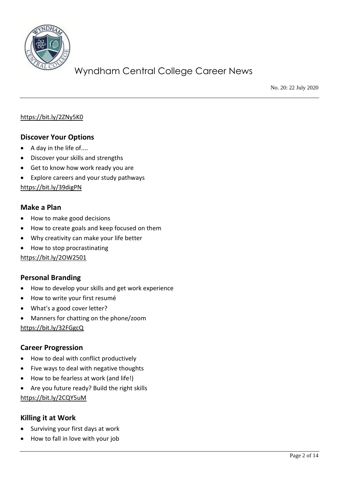

No. 20: 22 July 2020

#### <https://bit.ly/2ZNy5K0>

#### **Discover Your Options**

- A day in the life of....
- Discover your skills and strengths
- Get to know how work ready you are
- Explore careers and your study pathways

<https://bit.ly/39digPN>

#### **Make a Plan**

- How to make good decisions
- How to create goals and keep focused on them
- Why creativity can make your life better
- How to stop procrastinating

#### <https://bit.ly/2OW2501>

#### **Personal Branding**

- How to develop your skills and get work experience
- How to write your first resumé
- What's a good cover letter?
- Manners for chatting on the phone/zoom

<https://bit.ly/32FGgcQ>

#### **Career Progression**

- How to deal with conflict productively
- Five ways to deal with negative thoughts
- How to be fearless at work (and life!)
- Are you future ready? Build the right skills

<https://bit.ly/2CQY5uM>

#### **Killing it at Work**

- Surviving your first days at work
- How to fall in love with your job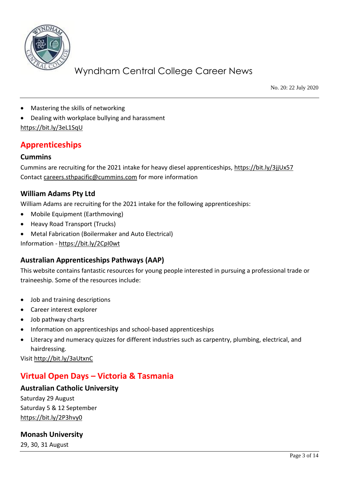

No. 20: 22 July 2020

- Mastering the skills of networking
- Dealing with workplace bullying and harassment
- <https://bit.ly/3eL1SqU>

### **Apprenticeships**

#### **Cummins**

Cummins are recruiting for the 2021 intake for heavy diesel apprenticeships,<https://bit.ly/3jjUx57> Contact [careers.sthpacific@cummins.com](mailto:careers.sthpacific@cummins.com) for more information

#### **William Adams Pty Ltd**

William Adams are recruiting for the 2021 intake for the following apprenticeships:

- Mobile Equipment (Earthmoving)
- Heavy Road Transport (Trucks)
- Metal Fabrication (Boilermaker and Auto Electrical)

Information - <https://bit.ly/2CpI0wt>

#### **Australian Apprenticeships Pathways (AAP)**

This website contains fantastic resources for young people interested in pursuing a professional trade or traineeship. Some of the resources include:

- Job and training descriptions
- Career interest explorer
- Job pathway charts
- Information on apprenticeships and school-based apprenticeships
- Literacy and numeracy quizzes for different industries such as carpentry, plumbing, electrical, and hairdressing.

Visi[t http://bit.ly/3aUtxnC](http://bit.ly/3aUtxnC)

### **Virtual Open Days – Victoria & Tasmania**

#### **Australian Catholic University**

Saturday 29 August Saturday 5 & 12 September <https://bit.ly/2P3hvy0>

#### **Monash University**

29, 30, 31 August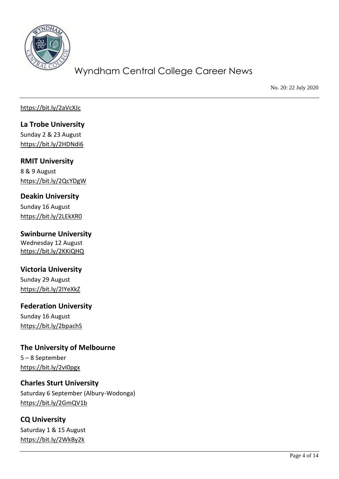

No. 20: 22 July 2020

<https://bit.ly/2aVcXJc>

**La Trobe University** Sunday 2 & 23 August <https://bit.ly/2HDNdi6>

**RMIT University** 8 & 9 August <https://bit.ly/2QcYDgW>

**Deakin University**

Sunday 16 August <https://bit.ly/2LEkXR0>

**Swinburne University** Wednesday 12 August <https://bit.ly/2KKiQHQ>

#### **Victoria University**

Sunday 29 August <https://bit.ly/2IYeXkZ>

### **Federation University**

Sunday 16 August <https://bit.ly/2bpachS>

**The University of Melbourne** 5 – 8 September <https://bit.ly/2vI0pgx>

#### **Charles Sturt University**

Saturday 6 September (Albury-Wodonga) <https://bit.ly/2GmQV1b>

# **CQ University**

Saturday 1 & 15 August <https://bit.ly/2WkBy2k>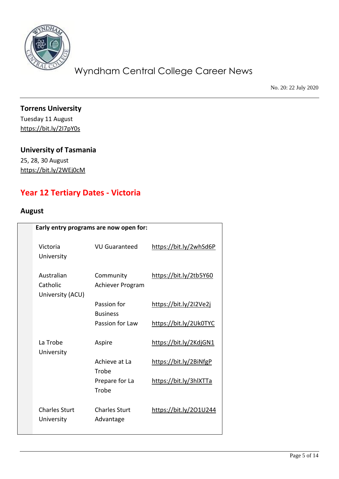

No. 20: 22 July 2020

**Torrens University** Tuesday 11 August <https://bit.ly/2I7pY0s>

### **University of Tasmania**

25, 28, 30 August <https://bit.ly/2WEj0cM>

### **Year 12 Tertiary Dates - Victoria**

### **August**

|                                    |                                    | Early entry programs are now open for: |  |  |
|------------------------------------|------------------------------------|----------------------------------------|--|--|
| Victoria<br>University             | VU Guaranteed                      | https://bit.ly/2whSd6P                 |  |  |
| Australian<br>Catholic             | Community<br>Achiever Program      | https://bit.ly/2tb5Y60                 |  |  |
|                                    | Passion for                        | https://bit.ly/2I2Ve2j                 |  |  |
|                                    | <b>Business</b><br>Passion for Law | https://bit.ly/2Uk0TYC                 |  |  |
| La Trobe                           | Aspire                             | https://bit.ly/2KdjGN1                 |  |  |
|                                    | Achieve at La<br>Trobe             | https://bit.ly/2BiNfgP                 |  |  |
|                                    | Prepare for La<br>Trobe            | https://bit.ly/3hlXTTa                 |  |  |
| <b>Charles Sturt</b><br>University | <b>Charles Sturt</b><br>Advantage  | https://bit.ly/201U244                 |  |  |
|                                    | University (ACU)<br>University     |                                        |  |  |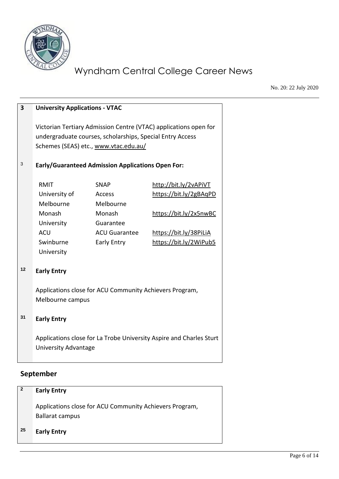

No. 20: 22 July 2020

| 3  | <b>University Applications - VTAC</b>                                                              |                                                                                                    |                                                                  |
|----|----------------------------------------------------------------------------------------------------|----------------------------------------------------------------------------------------------------|------------------------------------------------------------------|
|    |                                                                                                    | undergraduate courses, scholarships, Special Entry Access<br>Schemes (SEAS) etc., www.vtac.edu.au/ | Victorian Tertiary Admission Centre (VTAC) applications open for |
| 3  | <b>Early/Guaranteed Admission Applications Open For:</b>                                           |                                                                                                    |                                                                  |
|    | <b>RMIT</b>                                                                                        | <b>SNAP</b>                                                                                        | http://bit.ly/2vAPiVT                                            |
|    | University of                                                                                      | <b>Access</b>                                                                                      | https://bit.ly/2gBAqPD                                           |
|    | Melbourne                                                                                          | Melbourne                                                                                          |                                                                  |
|    | Monash                                                                                             | Monash                                                                                             | https://bit.ly/2x5nwBC                                           |
|    | University                                                                                         | Guarantee                                                                                          |                                                                  |
|    | <b>ACU</b>                                                                                         | <b>ACU Guarantee</b>                                                                               | https://bit.ly/38PiLiA                                           |
|    | Swinburne                                                                                          | Early Entry                                                                                        | https://bit.ly/2WiPub5                                           |
|    | University                                                                                         |                                                                                                    |                                                                  |
| 12 | <b>Early Entry</b>                                                                                 |                                                                                                    |                                                                  |
|    |                                                                                                    | Applications close for ACU Community Achievers Program,                                            |                                                                  |
|    | Melbourne campus                                                                                   |                                                                                                    |                                                                  |
| 31 | <b>Early Entry</b>                                                                                 |                                                                                                    |                                                                  |
|    | Applications close for La Trobe University Aspire and Charles Sturt<br><b>University Advantage</b> |                                                                                                    |                                                                  |
|    |                                                                                                    |                                                                                                    |                                                                  |

### **September**

| $\vert$ 2 | <b>Early Entry</b>                                                         |
|-----------|----------------------------------------------------------------------------|
|           | Applications close for ACU Community Achievers Program,<br>Ballarat campus |
| -25       | <b>Early Entry</b>                                                         |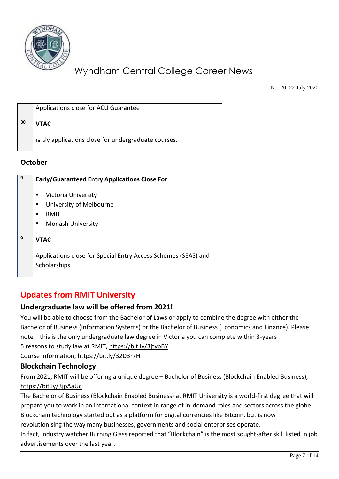

No. 20: 22 July 2020

Applications close for ACU Guarantee

#### **<sup>30</sup> VTAC**

Timely applications close for undergraduate courses.

#### **October**

| 9 | <b>Early/Guaranteed Entry Applications Close For</b>           |
|---|----------------------------------------------------------------|
|   | Victoria University<br>ш                                       |
|   | University of Melbourne<br>п.                                  |
|   | RMIT                                                           |
|   | <b>Monash University</b><br>п.                                 |
| 9 | <b>VTAC</b>                                                    |
|   | Applications close for Special Entry Access Schemes (SEAS) and |
|   | Scholarships                                                   |
|   |                                                                |

### **Updates from RMIT University**

#### **Undergraduate law will be offered from 2021!**

You will be able to choose from the Bachelor of Laws or apply to combine the degree with either the Bachelor of Business (Information Systems) or the Bachelor of Business (Economics and Finance). Please note – this is the only undergraduate law degree in Victoria you can complete within 3-years 5 reasons to study law at RMIT,<https://bit.ly/3jtvbBY> Course information,<https://bit.ly/32D3r7H>

#### **Blockchain Technology**

From 2021, RMIT will be offering a unique degree – Bachelor of Business (Blockchain Enabled Business), <https://bit.ly/3jpAaUc>

The [Bachelor of Business \(Blockchain Enabled Business\)](https://www.rmit.edu.au/study-with-us/levels-of-study/undergraduate-study/bachelor-degrees/bachelor-of-business-blockchain-enabled-business-bp334) at RMIT University is a world-first degree that will prepare you to work in an international context in range of in-demand roles and sectors across the globe. Blockchain technology started out as a platform for digital currencies like Bitcoin, but is now

revolutionising the way many businesses, governments and social enterprises operate.

In fact, industry watcher Burning Glass reported that "Blockchain" is the most sought-after skill listed in job advertisements over the last year.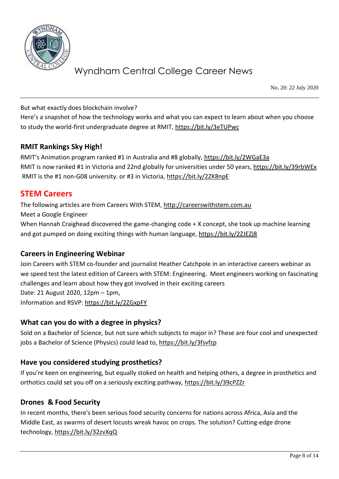

No. 20: 22 July 2020

But what exactly does blockchain involve?

Here's a snapshot of how the technology works and what you can expect to learn about when you choose to study the world-first undergraduate degree at RMIT,<https://bit.ly/3eTUPwc>

#### **RMIT Rankings Sky High!**

RMIT's Animation program ranked #1 in Australia and #8 globally, <https://bit.ly/2WGaE3a> RMIT is now ranked #1 in Victoria and 22nd globally for universities under 50 years,<https://bit.ly/39rbWEx> RMIT is the #1 non-G08 university. or #3 in Victoria,<https://bit.ly/2ZK8npE>

### **STEM Careers**

The following articles are from Careers With STEM, [http://careerswithstem.com.au](http://careerswithstem.com.au/) Meet a Google Engineer When Hannah Craighead discovered the game-changing code + X concept, she took up machine learning and got pumped on doing exciting things with human language[, https://bit.ly/2ZJEZj8](https://bit.ly/2ZJEZj8)

#### **Careers in Engineering Webinar**

Join Careers with STEM co-founder and journalist Heather Catchpole in an interactive careers webinar as we speed test the latest edition of Careers with STEM: Engineering. Meet engineers working on fascinating challenges and learn about how they got involved in their exciting careers Date: 21 August 2020, 12pm – 1pm, Information and RSVP:<https://bit.ly/2ZGxpFY>

#### **What can you do with a degree in physics?**

Sold on a Bachelor of Science, but not sure which subjects to major in? These are four cool and unexpected jobs a Bachelor of Science (Physics) could lead to,<https://bit.ly/3fsvfzp>

#### **Have you considered studying prosthetics?**

If you're keen on engineering, but equally stoked on health and helping others, a degree in prosthetics and orthotics could set you off on a seriously exciting pathway,<https://bit.ly/39cPZZr>

#### **Drones & Food Security**

In recent months, there's been serious food security concerns for nations across Africa, Asia and the Middle East, as swarms of desert locusts wreak havoc on crops. The solution? Cutting-edge drone technology,<https://bit.ly/32zvXqQ>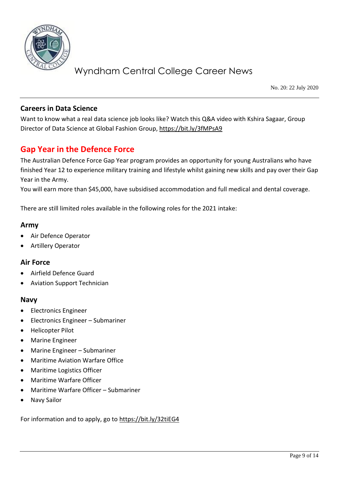

No. 20: 22 July 2020

#### **Careers in Data Science**

Want to know what a real data science job looks like? Watch this Q&A video with Kshira Sagaar, Group Director of Data Science at Global Fashion Group[, https://bit.ly/3fMPsA9](https://bit.ly/3fMPsA9)

### **Gap Year in the Defence Force**

The Australian Defence Force Gap Year program provides an opportunity for young Australians who have finished Year 12 to experience military training and lifestyle whilst gaining new skills and pay over their Gap Year in the Army.

You will earn more than \$45,000, have subsidised accommodation and full medical and dental coverage.

There are still limited roles available in the following roles for the 2021 intake:

#### **Army**

- Air Defence Operator
- Artillery Operator

#### **Air Force**

- Airfield Defence Guard
- Aviation Support Technician

#### **Navy**

- Electronics Engineer
- Electronics Engineer Submariner
- Helicopter Pilot
- Marine Engineer
- Marine Engineer Submariner
- Maritime Aviation Warfare Office
- Maritime Logistics Officer
- Maritime Warfare Officer
- Maritime Warfare Officer Submariner
- Navy Sailor

For information and to apply, go to<https://bit.ly/32tiEG4>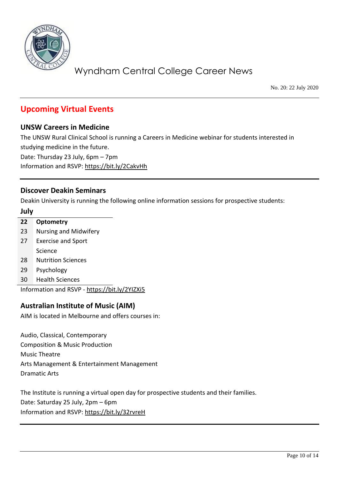

No. 20: 22 July 2020

### **Upcoming Virtual Events**

#### **UNSW Careers in Medicine**

The UNSW Rural Clinical School is running a Careers in Medicine webinar for students interested in studying medicine in the future.

Date: Thursday 23 July, 6pm – 7pm Information and RSVP:<https://bit.ly/2CakvHh>

#### **Discover Deakin Seminars**

Deakin University is running the following online information sessions for prospective students:

#### **July**

| 22 | <b>Optometry</b>             |
|----|------------------------------|
| 23 | <b>Nursing and Midwifery</b> |
| 27 | <b>Exercise and Sport</b>    |
|    | Science                      |
| 28 | Nutrition Sciences           |
| 29 | Psychology                   |
| 30 | <b>Health Sciences</b>       |

Information and RSVP - <https://bit.ly/2YIZXi5>

#### **Australian Institute of Music (AIM)**

AIM is located in Melbourne and offers courses in:

Audio, Classical, Contemporary Composition & Music Production Music Theatre Arts Management & Entertainment Management Dramatic Arts

The Institute is running a virtual open day for prospective students and their families. Date: Saturday 25 July, 2pm – 6pm Information and RSVP:<https://bit.ly/32rvreH>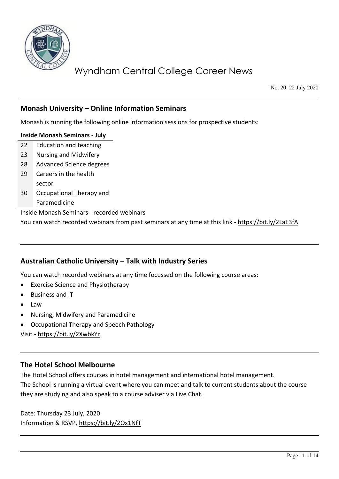

No. 20: 22 July 2020

#### **Monash University – Online Information Seminars**

Monash is running the following online information sessions for prospective students:

#### **Inside Monash Seminars - July**

- 22 Education and teaching
- 23 Nursing and Midwifery
- 28 Advanced Science degrees
- 29 Careers in the health sector
- 30 Occupational Therapy and Paramedicine

Inside Monash Seminars - recorded webinars

You can watch recorded webinars from past seminars at any time at this link - <https://bit.ly/2LaE3fA>

#### **Australian Catholic University – Talk with Industry Series**

You can watch recorded webinars at any time focussed on the following course areas:

- Exercise Science and Physiotherapy
- Business and IT
- Law
- Nursing, Midwifery and Paramedicine
- Occupational Therapy and Speech Pathology

Visit - <https://bit.ly/2XwbkYr>

#### **The Hotel School Melbourne**

The Hotel School offers courses in hotel management and international hotel management. The School is running a virtual event where you can meet and talk to current students about the course they are studying and also speak to a course adviser via Live Chat.

Date: Thursday 23 July, 2020 Information & RSVP,<https://bit.ly/2Ox1NfT>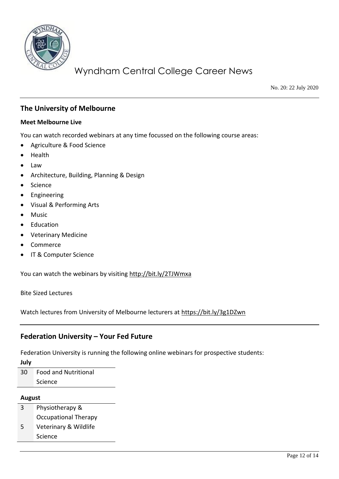

No. 20: 22 July 2020

#### **The University of Melbourne**

#### **Meet Melbourne Live**

You can watch recorded webinars at any time focussed on the following course areas:

- Agriculture & Food Science
- Health
- Law
- Architecture, Building, Planning & Design
- **Science**
- **Engineering**
- Visual & Performing Arts
- Music
- **Education**
- Veterinary Medicine
- Commerce
- IT & Computer Science

You can watch the webinars by visiting<http://bit.ly/2TJWmxa>

Bite Sized Lectures

Watch lectures from University of Melbourne lecturers at<https://bit.ly/3g1DZwn>

#### **Federation University – Your Fed Future**

Federation University is running the following online webinars for prospective students:

**July**

30 Food and Nutritional Science

#### **August**

- 3 Physiotherapy & Occupational Therapy
- 5 Veterinary & Wildlife Science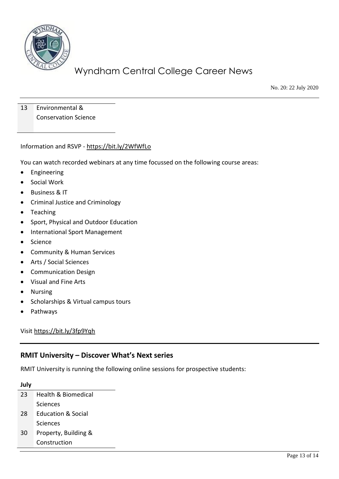

No. 20: 22 July 2020

13 Environmental & Conservation Science

Information and RSVP - <https://bit.ly/2WfWfLo>

You can watch recorded webinars at any time focussed on the following course areas:

- **Engineering**
- Social Work
- Business & IT
- Criminal Justice and Criminology
- Teaching
- Sport, Physical and Outdoor Education
- International Sport Management
- Science
- Community & Human Services
- Arts / Social Sciences
- Communication Design
- Visual and Fine Arts
- Nursing
- Scholarships & Virtual campus tours
- Pathways

Visi[t https://bit.ly/3fp9Yqh](https://bit.ly/3fp9Yqh)

#### **RMIT University – Discover What's Next series**

RMIT University is running the following online sessions for prospective students:

#### **July**

| 23 | Health & Biomedical           |
|----|-------------------------------|
|    | Sciences                      |
| 28 | <b>Education &amp; Social</b> |
|    | Sciences                      |
| 30 | Property, Building &          |
|    | Construction                  |